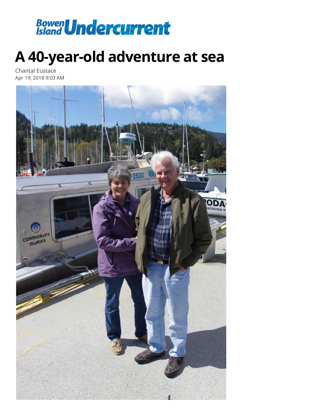

## **A 40-year-old adventure at sea**

Chantal Eustace Apr 19, 2018 9:03 AM

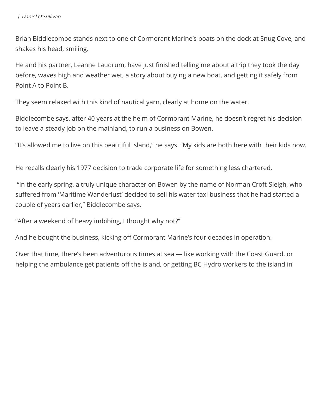Brian Biddlecombe stands next to one of Cormorant Marine's boats on the dock at Snug Cove, and shakes his head, smiling.

He and his partner, Leanne Laudrum, have just finished telling me about a trip they took the day before, waves high and weather wet, a story about buying a new boat, and getting it safely from Point A to Point B.

They seem relaxed with this kind of nautical yarn, clearly at home on the water.

Biddlecombe says, after 40 years at the helm of Cormorant Marine, he doesn't regret his decision to leave a steady job on the mainland, to run a business on Bowen.

"It's allowed me to live on this beautiful island," he says. "My kids are both here with their kids now.

He recalls clearly his 1977 decision to trade corporate life for something less chartered.

 "In the early spring, a truly unique character on Bowen by the name of Norman Croft-Sleigh, who suffered from 'Maritime Wanderlust' decided to sell his water taxi business that he had started a couple of years earlier," Biddlecombe says.

"After a weekend of heavy imbibing, I thought why not?"

And he bought the business, kicking off Cormorant Marine's four decades in operation.

Over that time, there's been adventurous times at sea — like working with the Coast Guard, or helping the ambulance get patients off the island, or getting BC Hydro workers to the island in